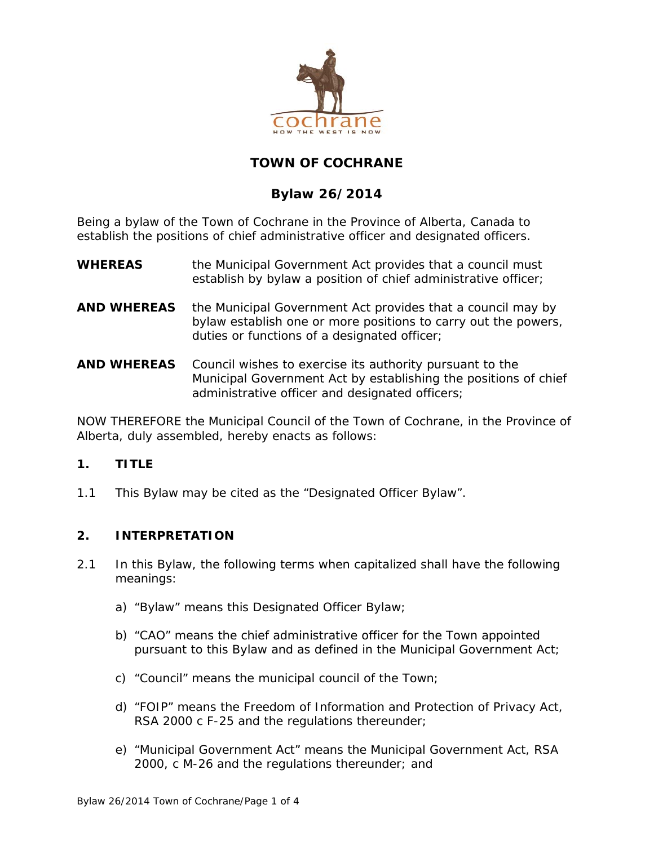

# **TOWN OF COCHRANE**

# **Bylaw 26/2014**

Being a bylaw of the Town of Cochrane in the Province of Alberta, Canada to establish the positions of chief administrative officer and designated officers.

- **WHEREAS** the *Municipal Government Act* provides that a council must establish by bylaw a position of chief administrative officer;
- **AND WHEREAS** the *Municipal Government Act* provides that a council may by bylaw establish one or more positions to carry out the powers, duties or functions of a designated officer;
- **AND WHEREAS** Council wishes to exercise its authority pursuant to the *Municipal Government Act* by establishing the positions of chief administrative officer and designated officers;

NOW THEREFORE the Municipal Council of the Town of Cochrane, in the Province of Alberta, duly assembled, hereby enacts as follows:

# **1. TITLE**

1.1 This Bylaw may be cited as the "Designated Officer Bylaw".

# **2. INTERPRETATION**

- 2.1 In this Bylaw, the following terms when capitalized shall have the following meanings:
	- a) "Bylaw" means this Designated Officer Bylaw;
	- b) "CAO" means the chief administrative officer for the Town appointed pursuant to this Bylaw and as defined in the *Municipal Government Act*;
	- c) "Council" means the municipal council of the Town;
	- d) "*FOIP*" means the *Freedom of Information and Protection of Privacy Act*, RSA 2000 c F-25 and the regulations thereunder;
	- e) "*Municipal Government Act*" means the *Municipal Government Act*, RSA 2000, c M-26 and the regulations thereunder; and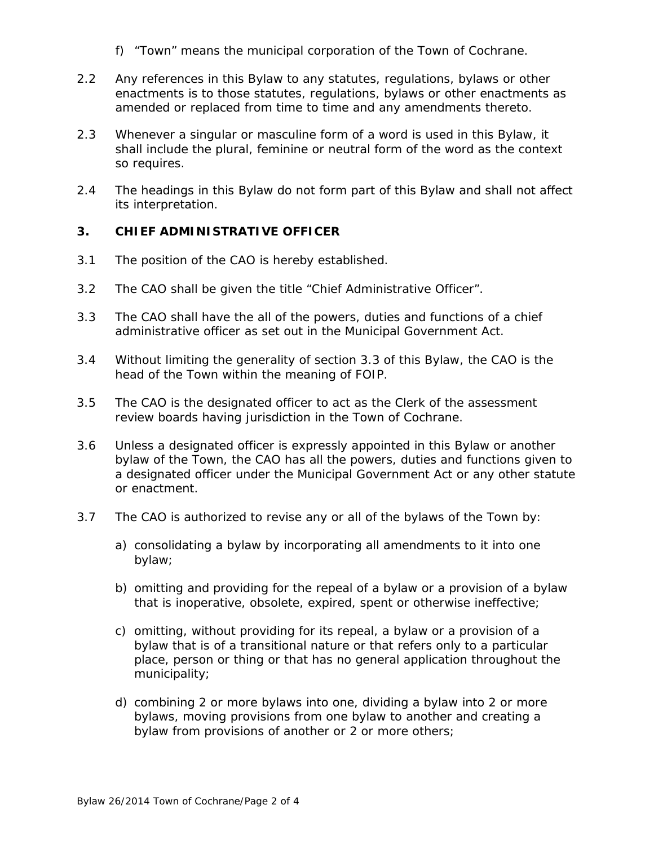- f) "Town" means the municipal corporation of the Town of Cochrane.
- 2.2 Any references in this Bylaw to any statutes, regulations, bylaws or other enactments is to those statutes, regulations, bylaws or other enactments as amended or replaced from time to time and any amendments thereto.
- 2.3 Whenever a singular or masculine form of a word is used in this Bylaw, it shall include the plural, feminine or neutral form of the word as the context so requires.
- 2.4 The headings in this Bylaw do not form part of this Bylaw and shall not affect its interpretation.

### **3. CHIEF ADMINISTRATIVE OFFICER**

- 3.1 The position of the CAO is hereby established.
- 3.2 The CAO shall be given the title "Chief Administrative Officer".
- 3.3 The CAO shall have the all of the powers, duties and functions of a chief administrative officer as set out in the *Municipal Government Act*.
- 3.4 Without limiting the generality of section 3.3 of this Bylaw, the CAO is the head of the Town within the meaning of *FOIP*.
- 3.5 The CAO is the designated officer to act as the Clerk of the assessment review boards having jurisdiction in the Town of Cochrane.
- 3.6 Unless a designated officer is expressly appointed in this Bylaw or another bylaw of the Town, the CAO has all the powers, duties and functions given to a designated officer under the *Municipal Government Act* or any other statute or enactment.
- 3.7 The CAO is authorized to revise any or all of the bylaws of the Town by:
	- a) consolidating a bylaw by incorporating all amendments to it into one bylaw;
	- b) omitting and providing for the repeal of a bylaw or a provision of a bylaw that is inoperative, obsolete, expired, spent or otherwise ineffective;
	- c) omitting, without providing for its repeal, a bylaw or a provision of a bylaw that is of a transitional nature or that refers only to a particular place, person or thing or that has no general application throughout the municipality;
	- d) combining 2 or more bylaws into one, dividing a bylaw into 2 or more bylaws, moving provisions from one bylaw to another and creating a bylaw from provisions of another or 2 or more others;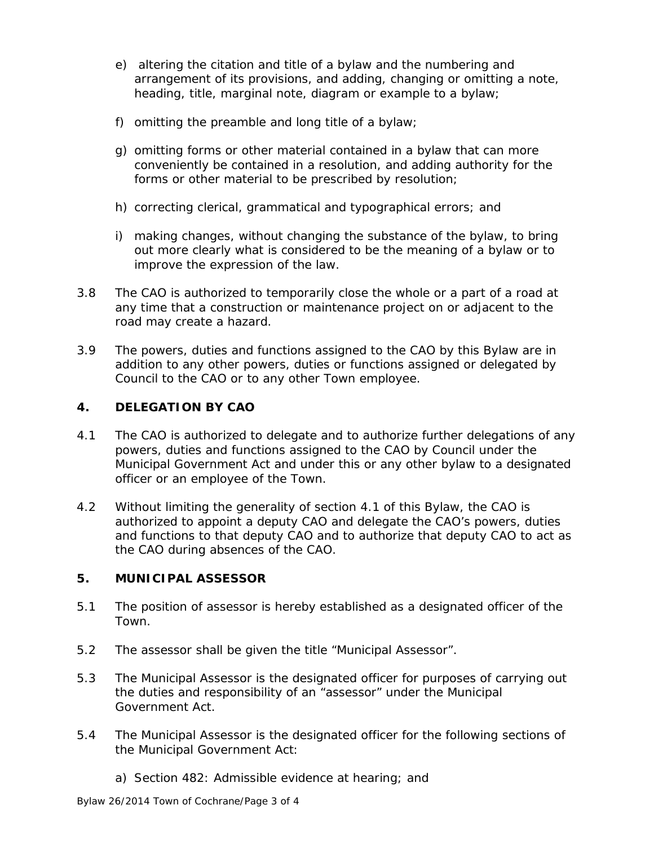- e) altering the citation and title of a bylaw and the numbering and arrangement of its provisions, and adding, changing or omitting a note, heading, title, marginal note, diagram or example to a bylaw;
- f) omitting the preamble and long title of a bylaw;
- g) omitting forms or other material contained in a bylaw that can more conveniently be contained in a resolution, and adding authority for the forms or other material to be prescribed by resolution;
- h) correcting clerical, grammatical and typographical errors; and
- i) making changes, without changing the substance of the bylaw, to bring out more clearly what is considered to be the meaning of a bylaw or to improve the expression of the law.
- 3.8 The CAO is authorized to temporarily close the whole or a part of a road at any time that a construction or maintenance project on or adjacent to the road may create a hazard.
- 3.9 The powers, duties and functions assigned to the CAO by this Bylaw are in addition to any other powers, duties or functions assigned or delegated by Council to the CAO or to any other Town employee.

# **4. DELEGATION BY CAO**

- 4.1 The CAO is authorized to delegate and to authorize further delegations of any powers, duties and functions assigned to the CAO by Council under the *Municipal Government Act* and under this or any other bylaw to a designated officer or an employee of the Town.
- 4.2 Without limiting the generality of section 4.1 of this Bylaw, the CAO is authorized to appoint a deputy CAO and delegate the CAO's powers, duties and functions to that deputy CAO and to authorize that deputy CAO to act as the CAO during absences of the CAO.

# **5. MUNICIPAL ASSESSOR**

- 5.1 The position of assessor is hereby established as a designated officer of the Town.
- 5.2 The assessor shall be given the title "Municipal Assessor".
- 5.3 The Municipal Assessor is the designated officer for purposes of carrying out the duties and responsibility of an "assessor" under the *Municipal Government Act*.
- 5.4 The Municipal Assessor is the designated officer for the following sections of the *Municipal Government Act*:
	- a) Section 482: Admissible evidence at hearing; and